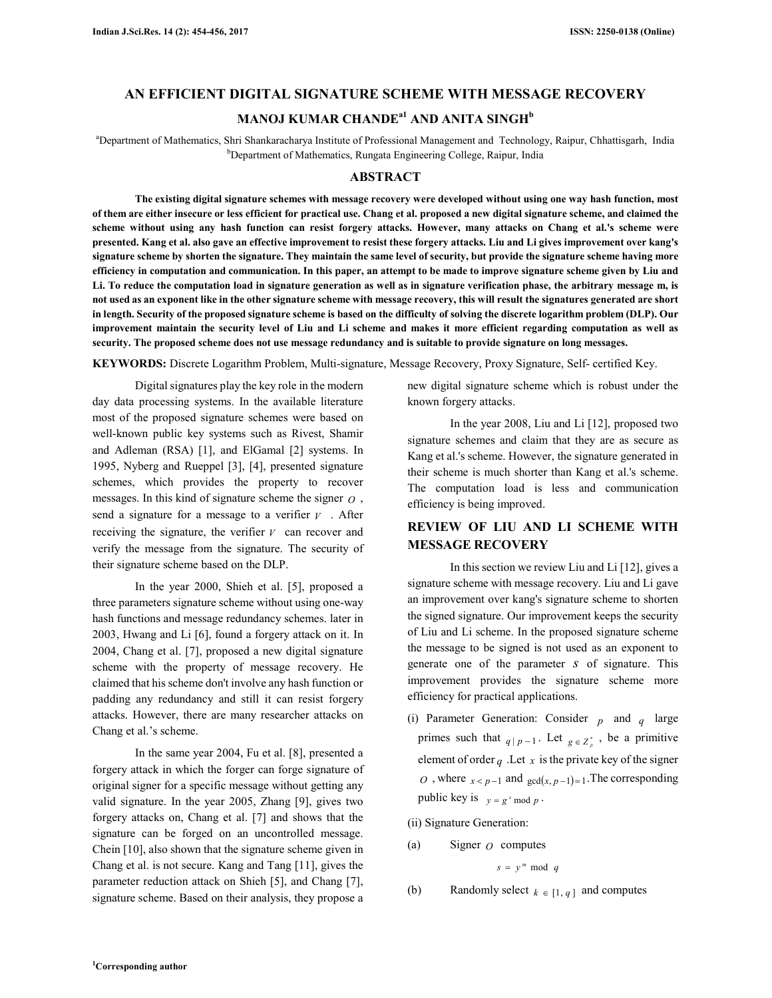# **AN EFFICIENT DIGITAL SIGNATURE SCHEME WITH MESSAGE RECOVERY MANOJ KUMAR CHANDEa1 AND ANITA SINGH<sup>b</sup>**

<sup>a</sup>Department of Mathematics, Shri Shankaracharya Institute of Professional Management and Technology, Raipur, Chhattisgarh, India <sup>b</sup>Department of Mathematics, Rungata Engineering College, Raipur, India

#### **ABSTRACT**

**The existing digital signature schemes with message recovery were developed without using one way hash function, most of them are either insecure or less efficient for practical use. Chang et al. proposed a new digital signature scheme, and claimed the scheme without using any hash function can resist forgery attacks. However, many attacks on Chang et al.'s scheme were presented. Kang et al. also gave an effective improvement to resist these forgery attacks. Liu and Li gives improvement over kang's signature scheme by shorten the signature. They maintain the same level of security, but provide the signature scheme having more efficiency in computation and communication. In this paper, an attempt to be made to improve signature scheme given by Liu and Li. To reduce the computation load in signature generation as well as in signature verification phase, the arbitrary message m, is not used as an exponent like in the other signature scheme with message recovery, this will result the signatures generated are short in length. Security of the proposed signature scheme is based on the difficulty of solving the discrete logarithm problem (DLP). Our improvement maintain the security level of Liu and Li scheme and makes it more efficient regarding computation as well as security. The proposed scheme does not use message redundancy and is suitable to provide signature on long messages.** 

**KEYWORDS:** Discrete Logarithm Problem, Multi-signature, Message Recovery, Proxy Signature, Self- certified Key.

Digital signatures play the key role in the modern day data processing systems. In the available literature most of the proposed signature schemes were based on well-known public key systems such as Rivest, Shamir and Adleman (RSA) [1], and ElGamal [2] systems. In 1995, Nyberg and Rueppel [3], [4], presented signature schemes, which provides the property to recover messages. In this kind of signature scheme the signer *O* , send a signature for a message to a verifier  $V$ . After receiving the signature, the verifier  $V$  can recover and verify the message from the signature. The security of their signature scheme based on the DLP.

In the year 2000, Shieh et al. [5], proposed a three parameters signature scheme without using one-way hash functions and message redundancy schemes. later in 2003, Hwang and Li [6], found a forgery attack on it. In 2004, Chang et al. [7], proposed a new digital signature scheme with the property of message recovery. He claimed that his scheme don't involve any hash function or padding any redundancy and still it can resist forgery attacks. However, there are many researcher attacks on Chang et al.'s scheme.

In the same year 2004, Fu et al. [8], presented a forgery attack in which the forger can forge signature of original signer for a specific message without getting any valid signature. In the year 2005, Zhang [9], gives two forgery attacks on, Chang et al. [7] and shows that the signature can be forged on an uncontrolled message. Chein [10], also shown that the signature scheme given in Chang et al. is not secure. Kang and Tang [11], gives the parameter reduction attack on Shieh [5], and Chang [7], signature scheme. Based on their analysis, they propose a new digital signature scheme which is robust under the known forgery attacks.

In the year 2008, Liu and Li [12], proposed two signature schemes and claim that they are as secure as Kang et al.'s scheme. However, the signature generated in their scheme is much shorter than Kang et al.'s scheme. The computation load is less and communication efficiency is being improved.

# **REVIEW OF LIU AND LI SCHEME WITH MESSAGE RECOVERY**

In this section we review Liu and Li [12], gives a signature scheme with message recovery. Liu and Li gave an improvement over kang's signature scheme to shorten the signed signature. Our improvement keeps the security of Liu and Li scheme. In the proposed signature scheme the message to be signed is not used as an exponent to generate one of the parameter *s* of signature. This improvement provides the signature scheme more efficiency for practical applications.

(i) Parameter Generation: Consider *p* and *q* large primes such that  $q \mid p-1$ . Let  $g \in Z_p^*$ , be a primitive element of order  $q$ . Let  $x$  is the private key of the signer *O*, where  $x < p-1$  and  $gcd(x, p-1)=1$ . The corresponding public key is  $y = g^x \mod p$ .

(ii) Signature Generation:

(a) Signer *O* computes

$$
s = y^m \bmod q
$$

(b) Randomly select  $k \in [1, q]$  and computes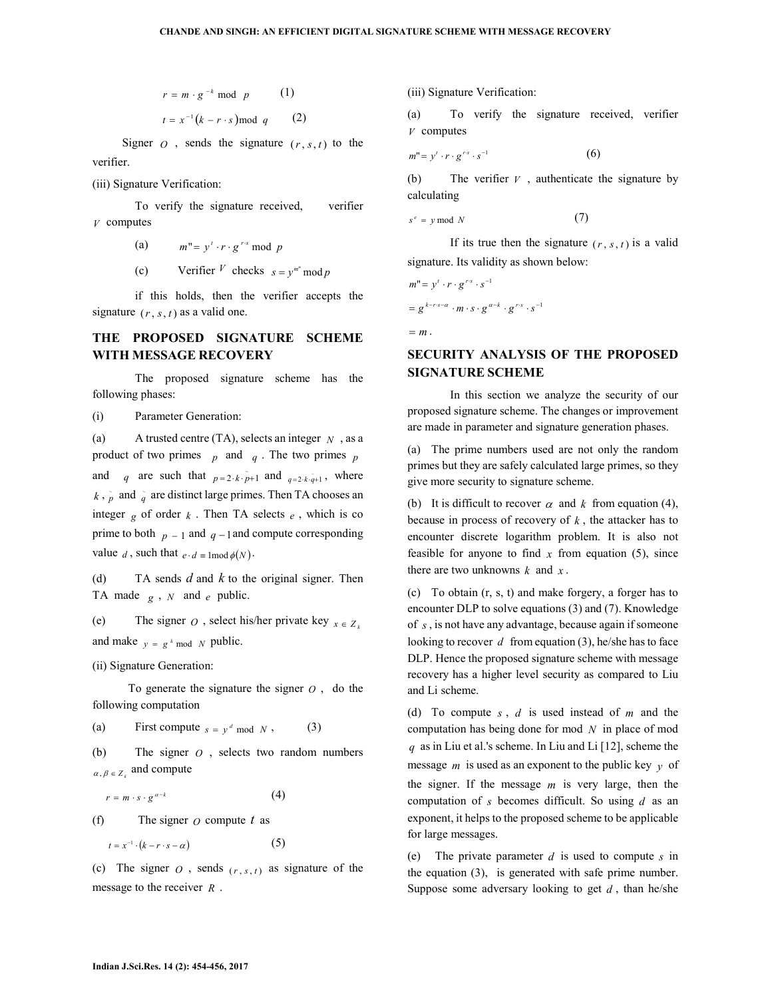$$
r = m \cdot g^{-k} \mod p \qquad (1)
$$

$$
t = x^{-1} (k - r \cdot s) \mod q \qquad (2)
$$

Signer  $O$ , sends the signature  $(r, s, t)$  to the verifier.

(iii) Signature Verification:

To verify the signature received, verifier *V* computes

- (a)  $m'' = y' \cdot r \cdot g^{r \cdot s} \mod p$
- (c) Verifier <sup>V</sup> checks  $s = y^{m^n} \mod p$

if this holds, then the verifier accepts the signature  $(r, s, t)$  as a valid one.

## **THE PROPOSED SIGNATURE SCHEME WITH MESSAGE RECOVERY**

The proposed signature scheme has the following phases:

(i) Parameter Generation:

(a) A trusted centre (TA), selects an integer *N* , as a product of two primes  $p$  and  $q$ . The two primes  $p$ and q are such that  $p=2 \cdot k \cdot \tilde{p}+1$  and  $q=2 \cdot k \cdot \tilde{q}+1$ , where  $k$ ,  $\tilde{p}$  and  $\tilde{q}$  are distinct large primes. Then TA chooses an integer  $g$  of order  $k$ . Then TA selects  $e$ , which is co prime to both  $p = 1$  and  $q = 1$  and compute corresponding value *d*, such that  $e \cdot d \equiv \text{mod } \phi(N)$ .

(d) TA sends *d* and *k* to the original signer. Then TA made  $g \, , N$  and  $e$  public.

(e) The signer *O*, select his/her private key  $x \in Z_k$ and make  $y = g^k \mod N$  public.

(ii) Signature Generation:

To generate the signature the signer  $\theta$ , do the following computation

(a) First compute  $s = y^d \mod N$ , (3)

(b) The signer *O* , selects two random numbers  $\alpha, \beta \in Z_k$  and compute

$$
r = m \cdot s \cdot g^{\alpha - k} \tag{4}
$$

(f) The signer *O* compute *t* as

$$
t = x^{-1} \cdot (k - r \cdot s - \alpha) \tag{5}
$$

(c) The signer  $O$ , sends  $(r, s, t)$  as signature of the message to the receiver *R* .

(iii) Signature Verification:

(a) To verify the signature received, verifier *V* computes

$$
m'' = y' \cdot r \cdot g^{rs} \cdot s^{-1} \tag{6}
$$

(b) The verifier *V* , authenticate the signature by calculating

$$
s^e = y \bmod N \tag{7}
$$

If its true then the signature  $(r, s, t)$  is a valid signature. Its validity as shown below:

$$
m'' = y' \cdot r \cdot g^{rs} \cdot s^{-1}
$$
  
=  $g^{k-r \cdot s-\alpha} \cdot m \cdot s \cdot g^{\alpha-k} \cdot g^{rs} \cdot s^{-1}$   
=  $m$ .

# **SECURITY ANALYSIS OF THE PROPOSED SIGNATURE SCHEME**

In this section we analyze the security of our proposed signature scheme. The changes or improvement are made in parameter and signature generation phases.

(a) The prime numbers used are not only the random primes but they are safely calculated large primes, so they give more security to signature scheme.

(b) It is difficult to recover  $\alpha$  and  $k$  from equation (4), because in process of recovery of  $k$ , the attacker has to encounter discrete logarithm problem. It is also not feasible for anyone to find  $x$  from equation (5), since there are two unknowns  $k$  and  $x$ .

(c) To obtain (r, s, t) and make forgery, a forger has to encounter DLP to solve equations (3) and (7). Knowledge of *s* , is not have any advantage, because again if someone looking to recover *d* from equation (3), he/she has to face DLP. Hence the proposed signature scheme with message recovery has a higher level security as compared to Liu and Li scheme.

(d) To compute *s* , *d* is used instead of *m* and the computation has being done for mod *N* in place of mod *q* as in Liu et al.'s scheme. In Liu and Li [12], scheme the message  $m$  is used as an exponent to the public key  $\gamma$  of the signer. If the message *m* is very large, then the computation of *s* becomes difficult. So using *d* as an exponent, it helps to the proposed scheme to be applicable for large messages.

(e) The private parameter *d* is used to compute *s* in the equation (3), is generated with safe prime number. Suppose some adversary looking to get  $d$ , than he/she